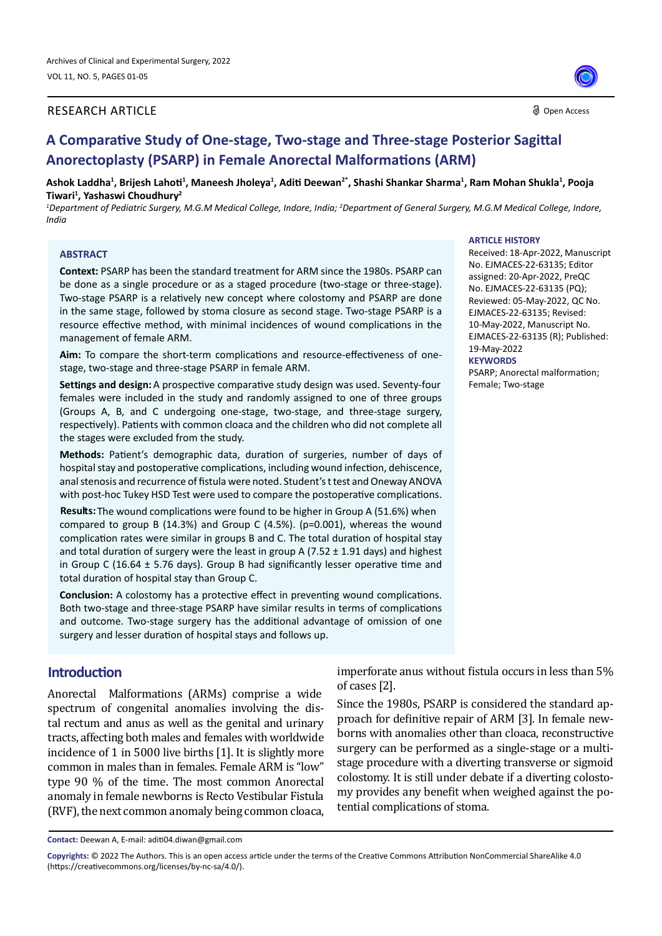#### RESEARCH ARTICLE

O Open Access

# **A Comparative Study of One-stage, Two-stage and Three-stage Posterior Sagittal Anorectoplasty (PSARP) in Female Anorectal Malformations (ARM)**

**Ashok Laddha<sup>1</sup> , Brijesh Lahoti<sup>1</sup> , Maneesh Jholeya<sup>1</sup> , Aditi Deewan2\*, Shashi Shankar Sharma<sup>1</sup> , Ram Mohan Shukla<sup>1</sup> , Pooja Tiwari<sup>1</sup> , Yashaswi Choudhury<sup>2</sup>**

<sup>1</sup>Department of Pediatric Surgery, M.G.M Medical College, Indore, India; <sup>2</sup>Department of General Surgery, M.G.M Medical College, Indore, *India*

#### **ABSTRACT**

**Context:** PSARP has been the standard treatment for ARM since the 1980s. PSARP can be done as a single procedure or as a staged procedure (two-stage or three-stage). Two-stage PSARP is a relatively new concept where colostomy and PSARP are done in the same stage, followed by stoma closure as second stage. Two-stage PSARP is a resource effective method, with minimal incidences of wound complications in the management of female ARM.

**Aim:** To compare the short-term complications and resource-effectiveness of onestage, two-stage and three-stage PSARP in female ARM.

females were included in the study and randomly assigned to one of three groups (Groups A, B, and C undergoing one-stage, two-stage, and three-stage surgery, respectively). Patients with common cloaca and the children who did not complete all the stages were excluded from the study. Settings and design: A prospective comparative study design was used. Seventy-four

**Methods:** Patient's demographic data, duration of surgeries, number of days of hospital stay and postoperative complications, including wound infection, dehiscence, anal stenosis and recurrence of fistula were noted. Student's t test and Oneway ANOVA with post-hoc Tukey HSD Test were used to compare the postoperative complications.

compared to group B (14.3%) and Group C (4.5%). (p=0.001), whereas the wound complication rates were similar in groups B and C. The total duration of hospital stay and total duration of surgery were the least in group A (7.52  $\pm$  1.91 days) and highest in Group C (16.64 ± 5.76 days). Group B had significantly lesser operative time and total duration of hospital stay than Group C. **Results:** The wound complications were found to be higher in Group A (51.6%) when

**Conclusion:** A colostomy has a protective effect in preventing wound complications. Both two-stage and three-stage PSARP have similar results in terms of complications and outcome. Two-stage surgery has the additional advantage of omission of one surgery and lesser duration of hospital stays and follows up.

### **Introduction**

Anorectal Malformations (ARMs) comprise a wide spectrum of congenital anomalies involving the distal rectum and anus as well as the genital and urinary tracts, affecting both males and females with worldwide incidence of 1 in 5000 live births [1]. It is slightly more common in males than in females. Female ARM is "low" type 90 % of the time. The most common Anorectal anomaly in female newborns is Recto Vestibular Fistula (RVF), the next common anomaly being common cloaca,

imperforate anus without fistula occurs in less than 5% of cases [2].

Since the 1980s, PSARP is considered the standard approach for definitive repair of ARM [3]. In female newborns with anomalies other than cloaca, reconstructive surgery can be performed as a single-stage or a multistage procedure with a diverting transverse or sigmoid colostomy. It is still under debate if a diverting colostomy provides any benefit when weighed against the potential complications of stoma.

#### **ARTICLE HISTORY**

Received: 18-Apr-2022, Manuscript No. EJMACES-22-63135; Editor assigned: 20-Apr-2022, PreQC No. EJMACES-22-63135 (PQ); Reviewed: 05-May-2022, QC No. EJMACES-22-63135; Revised: 10-May-2022, Manuscript No. EJMACES-22-63135 (R); Published: 19-May-2022 **KEYWORDS** PSARP; Anorectal malformation;

Female; Two-stage

**Contact:** Deewan A, E-mail: aditi04.diwan@gmail.com

**Copyrights:** © 2022 The Authors. This is an open access article under the terms of the Creative Commons Attribution NonCommercial ShareAlike 4.0 (https://creativecommons.org/licenses/by-nc-sa/4.0/).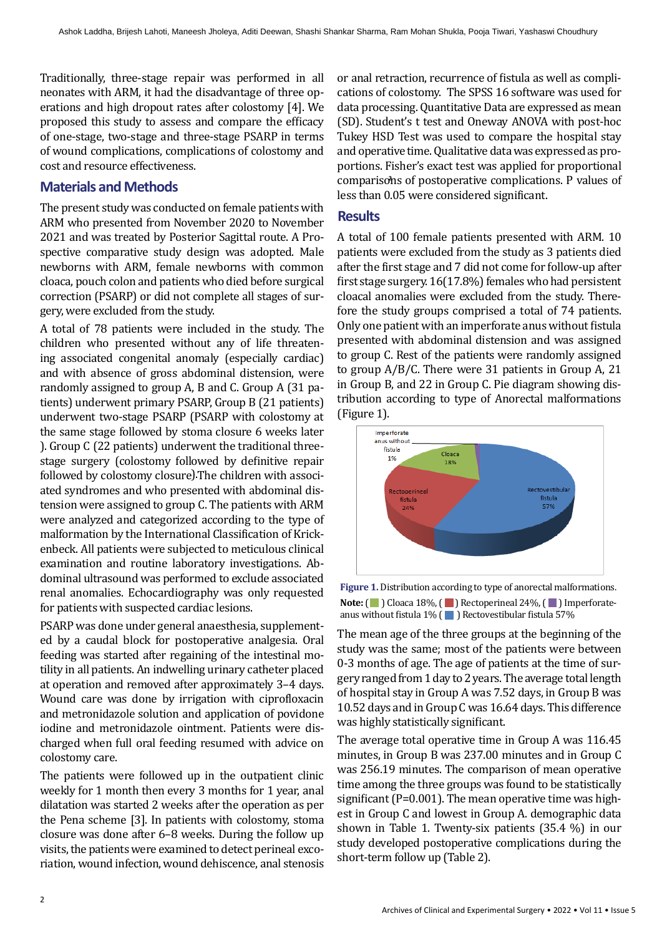Traditionally, three-stage repair was performed in all neonates with ARM, it had the disadvantage of three operations and high dropout rates after colostomy [4]. We proposed this study to assess and compare the efficacy of one-stage, two-stage and three-stage PSARP in terms of wound complications, complications of colostomy and cost and resource effectiveness.

# **Materials and Methods**

The present study was conducted on female patients with ARM who presented from November 2020 to November 2021 and was treated by Posterior Sagittal route. A Prospective comparative study design was adopted. Male newborns with ARM, female newborns with common cloaca, pouch colon and patients who died before surgical correction (PSARP) or did not complete all stages of surgery, were excluded from the study.

A total of 78 patients were included in the study. The children who presented without any of life threatening associated congenital anomaly (especially cardiac) and with absence of gross abdominal distension, were randomly assigned to group A, B and C. Group A (31 patients) underwent primary PSARP, Group B (21 patients) underwent two-stage PSARP (PSARP with colostomy at the same stage followed by stoma closure 6 weeks later ). Group C (22 patients) underwent the traditional threestage surgery (colostomy followed by definitive repair followed by colostomy closure).The children with associated syndromes and who presented with abdominal distension were assigned to group C. The patients with ARM were analyzed and categorized according to the type of malformation by the International Classification of Krickenbeck. All patients were subjected to meticulous clinical examination and routine laboratory investigations. Abdominal ultrasound was performed to exclude associated renal anomalies. Echocardiography was only requested for patients with suspected cardiac lesions.

PSARP was done under general anaesthesia, supplemented by a caudal block for postoperative analgesia. Oral feeding was started after regaining of the intestinal motility in all patients. An indwelling urinary catheter placed at operation and removed after approximately 3–4 days. Wound care was done by irrigation with ciprofloxacin and metronidazole solution and application of povidone iodine and metronidazole ointment. Patients were discharged when full oral feeding resumed with advice on colostomy care.

The patients were followed up in the outpatient clinic weekly for 1 month then every 3 months for 1 year, anal dilatation was started 2 weeks after the operation as per the Pena scheme [3]. In patients with colostomy, stoma closure was done after 6–8 weeks. During the follow up visits, the patients were examined to detect perineal excoriation, wound infection, wound dehiscence, anal stenosis

or anal retraction, recurrence of fistula as well as complications of colostomy. The SPSS 16 software was used for data processing. Quantitative Data are expressed as mean (SD). Student's t test and Oneway ANOVA with post-hoc Tukey HSD Test was used to compare the hospital stay and operative time. Qualitative data was expressed as proportions. Fisher's exact test was applied for proportional comparisons of postoperative complications. P values of **2** less than 0.05 were considered significant.

### **Results**

A total of 100 female patients presented with ARM. 10 patients were excluded from the study as 3 patients died after the first stage and 7 did not come for follow-up after first stage surgery. 16(17.8%) females who had persistent cloacal anomalies were excluded from the study. Therefore the study groups comprised a total of 74 patients. Only one patient with an imperforate anus without fistula presented with abdominal distension and was assigned to group C. Rest of the patients were randomly assigned to group A/B/C. There were 31 patients in Group A, 21 in Group B, and 22 in Group C. Pie diagram showing distribution according to type of Anorectal malformations (Figure 1).



**Figure 1.** Distribution according to type of anorectal malformations. Note: ( ) Cloaca 18%, ( ) Rectoperineal 24%, ( ) Imperforateanus without fistula 1% ( ) Rectovestibular fistula 57%

The mean age of the three groups at the beginning of the study was the same; most of the patients were between 0-3 months of age. The age of patients at the time of surgery ranged from 1 day to 2 years. The average total length of hospital stay in Group A was 7.52 days, in Group B was 10.52 days and in Group C was 16.64 days. This difference was highly statistically significant.

The average total operative time in Group A was 116.45 minutes, in Group B was 237.00 minutes and in Group C was 256.19 minutes. The comparison of mean operative time among the three groups was found to be statistically significant (P=0.001). The mean operative time was highest in Group C and lowest in Group A. demographic data shown in Table 1. Twenty-six patients (35.4 %) in our study developed postoperative complications during the short-term follow up (Table 2).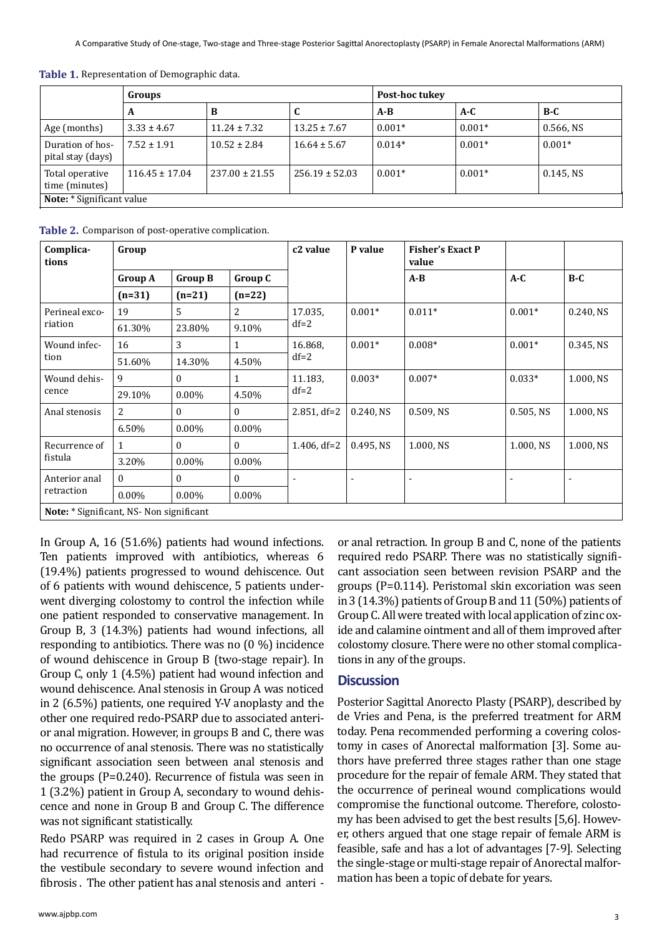|                                       | Groups             |                    |                    | Post-hoc tukey |          |              |  |  |  |  |
|---------------------------------------|--------------------|--------------------|--------------------|----------------|----------|--------------|--|--|--|--|
|                                       | A                  | в                  | J                  | $A-B$          | $A-C$    | $B-C$        |  |  |  |  |
| Age (months)                          | $3.33 \pm 4.67$    | $11.24 \pm 7.32$   | $13.25 \pm 7.67$   | $0.001*$       | $0.001*$ | $0.566$ , NS |  |  |  |  |
| Duration of hos-<br>pital stay (days) | $7.52 \pm 1.91$    | $10.52 \pm 2.84$   | $16.64 \pm 5.67$   | $0.014*$       | $0.001*$ | $0.001*$     |  |  |  |  |
| Total operative<br>time (minutes)     | $116.45 \pm 17.04$ | $237.00 \pm 21.55$ | $256.19 \pm 52.03$ | $0.001*$       | $0.001*$ | $0.145$ , NS |  |  |  |  |
| Note: * Significant value             |                    |                    |                    |                |          |              |  |  |  |  |

Table 1. Representation of Demographic data.

Table 2. Comparison of post-operative complication.

| Complica-<br>tions                       | Group          |                |              | c <sub>2</sub> value | P value      | <b>Fisher's Exact P</b><br>value |              |              |  |  |
|------------------------------------------|----------------|----------------|--------------|----------------------|--------------|----------------------------------|--------------|--------------|--|--|
|                                          | <b>Group A</b> | <b>Group B</b> | Group C      |                      |              | $A - B$                          | $A-C$        | $B-C$        |  |  |
|                                          | $(n=31)$       | $(n=21)$       | $(n=22)$     |                      |              |                                  |              |              |  |  |
| Perineal exco-<br>riation                | 19             | 5              | 2            | 17.035,<br>$df=2$    | $0.001*$     | $0.011*$                         | $0.001*$     | $0.240$ , NS |  |  |
|                                          | 61.30%         | 23.80%         | 9.10%        |                      |              |                                  |              |              |  |  |
| Wound infec-<br>tion                     | 16             | 3              | 1            | 16.868,<br>$df=2$    | $0.001*$     | $0.008*$                         | $0.001*$     | $0.345$ , NS |  |  |
|                                          | 51.60%         | 14.30%         | 4.50%        |                      |              |                                  |              |              |  |  |
| Wound dehis-<br>cence                    | 9              | $\theta$       | 1            | 11.183.<br>$df=2$    | $0.003*$     | $0.007*$                         | $0.033*$     | 1.000, NS    |  |  |
|                                          | 29.10%         | $0.00\%$       | 4.50%        |                      |              |                                  |              |              |  |  |
| Anal stenosis                            | 2              | 0              | 0            | $2.851, df=2$        | $0.240$ , NS | $0.509$ , NS                     | $0.505$ , NS | 1.000, NS    |  |  |
|                                          | 6.50%          | $0.00\%$       | $0.00\%$     |                      |              |                                  |              |              |  |  |
| Recurrence of<br>fistula                 |                | $\theta$       | $\Omega$     | 1.406, $df=2$        | $0.495$ , NS | 1.000, NS                        | 1.000, NS    | 1.000, NS    |  |  |
|                                          | 3.20%          | $0.00\%$       | $0.00\%$     |                      |              |                                  |              |              |  |  |
| Anterior anal<br>retraction              | $\theta$       | $\theta$       | $\mathbf{0}$ | $\blacksquare$       |              | ٠                                |              |              |  |  |
|                                          | 0.00%          | $0.00\%$       | $0.00\%$     |                      |              |                                  |              |              |  |  |
| Note: * Significant, NS- Non significant |                |                |              |                      |              |                                  |              |              |  |  |

In Group A, 16 (51.6%) patients had wound infections. Ten patients improved with antibiotics, whereas 6 (19.4%) patients progressed to wound dehiscence. Out of 6 patients with wound dehiscence, 5 patients underwent diverging colostomy to control the infection while one patient responded to conservative management. In Group B, 3 (14.3%) patients had wound infections, all responding to antibiotics. There was no (0 %) incidence of wound dehiscence in Group B (two-stage repair). In Group C, only 1 (4.5%) patient had wound infection and wound dehiscence. Anal stenosis in Group A was noticed in 2 (6.5%) patients, one required Y-V anoplasty and the other one required redo-PSARP due to associated anterior anal migration. However, in groups B and C, there was no occurrence of anal stenosis. There was no statistically significant association seen between anal stenosis and the groups (P=0.240). Recurrence of fistula was seen in 1 (3.2%) patient in Group A, secondary to wound dehiscence and none in Group B and Group C. The difference was not significant statistically.

Redo PSARP was required in 2 cases in Group A. One had recurrence of fistula to its original position inside the vestibule secondary to severe wound infection and fibrosis . The other patient has anal stenosis and anteri - or anal retraction. In group B and C, none of the patients required redo PSARP. There was no statistically significant association seen between revision PSARP and the groups (P=0.114). Peristomal skin excoriation was seen in 3 (14.3%) patients of Group B and 11 (50%) patients of Group C. All were treated with local application of zinc oxide and calamine ointment and all of them improved after colostomy closure. There were no other stomal complications in any of the groups.

#### **Discussion**

Posterior Sagittal Anorecto Plasty (PSARP), described by de Vries and Pena, is the preferred treatment for ARM today. Pena recommended performing a covering colostomy in cases of Anorectal malformation [3]. Some authors have preferred three stages rather than one stage procedure for the repair of female ARM. They stated that the occurrence of perineal wound complications would compromise the functional outcome. Therefore, colostomy has been advised to get the best results [5,6]. However, others argued that one stage repair of female ARM is feasible, safe and has a lot of advantages [7-9]. Selecting the single-stage or multi-stage repair of Anorectal malformation has been a topic of debate for years.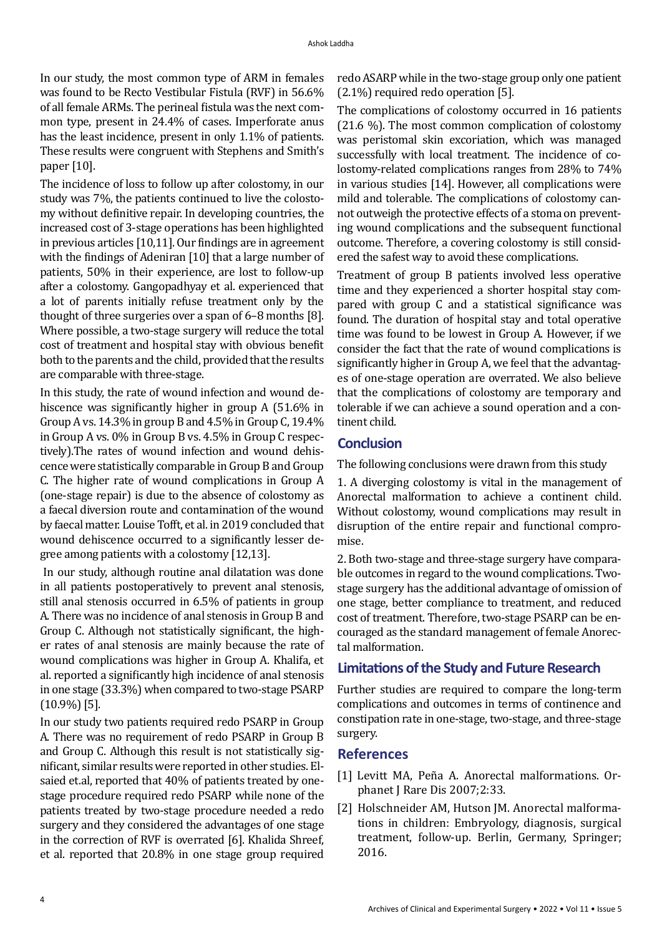In our study, the most common type of ARM in females was found to be Recto Vestibular Fistula (RVF) in 56.6% of all female ARMs. The perineal fistula was the next common type, present in 24.4% of cases. Imperforate anus has the least incidence, present in only 1.1% of patients. These results were congruent with Stephens and Smith's paper [10].

The incidence of loss to follow up after colostomy, in our study was 7%, the patients continued to live the colostomy without definitive repair. In developing countries, the increased cost of 3-stage operations has been highlighted in previous articles [10,11]. Our findings are in agreement with the findings of Adeniran [10] that a large number of patients, 50% in their experience, are lost to follow-up after a colostomy. Gangopadhyay et al. experienced that a lot of parents initially refuse treatment only by the thought of three surgeries over a span of 6–8 months [8]. Where possible, a two-stage surgery will reduce the total cost of treatment and hospital stay with obvious benefit both to the parents and the child, provided that the results are comparable with three-stage.

In this study, the rate of wound infection and wound dehiscence was significantly higher in group A (51.6% in Group A vs. 14.3% in group B and 4.5% in Group C, 19.4% in Group A vs. 0% in Group B vs. 4.5% in Group C respectively).The rates of wound infection and wound dehiscence were statistically comparable in Group B and Group C. The higher rate of wound complications in Group A (one-stage repair) is due to the absence of colostomy as a faecal diversion route and contamination of the wound by faecal matter. Louise Tofft, et al. in 2019 concluded that wound dehiscence occurred to a significantly lesser degree among patients with a colostomy [12,13].

 In our study, although routine anal dilatation was done in all patients postoperatively to prevent anal stenosis, still anal stenosis occurred in 6.5% of patients in group A. There was no incidence of anal stenosis in Group B and Group C. Although not statistically significant, the higher rates of anal stenosis are mainly because the rate of wound complications was higher in Group A. Khalifa, et al. reported a significantly high incidence of anal stenosis in one stage (33.3%) when compared to two-stage PSARP (10.9%) [5].

In our study two patients required redo PSARP in Group A. There was no requirement of redo PSARP in Group B and Group C. Although this result is not statistically significant, similar results were reported in other studies. Elsaied et.al, reported that 40% of patients treated by onestage procedure required redo PSARP while none of the patients treated by two-stage procedure needed a redo surgery and they considered the advantages of one stage in the correction of RVF is overrated [6]. Khalida Shreef, et al. reported that 20.8% in one stage group required redo ASARP while in the two-stage group only one patient (2.1%) required redo operation [5].

The complications of colostomy occurred in 16 patients (21.6 %). The most common complication of colostomy was peristomal skin excoriation, which was managed successfully with local treatment. The incidence of colostomy-related complications ranges from 28% to 74% in various studies [14]. However, all complications were mild and tolerable. The complications of colostomy cannot outweigh the protective effects of a stoma on preventing wound complications and the subsequent functional outcome. Therefore, a covering colostomy is still considered the safest way to avoid these complications.

Treatment of group B patients involved less operative time and they experienced a shorter hospital stay compared with group C and a statistical significance was found. The duration of hospital stay and total operative time was found to be lowest in Group A. However, if we consider the fact that the rate of wound complications is significantly higher in Group A, we feel that the advantages of one-stage operation are overrated. We also believe that the complications of colostomy are temporary and tolerable if we can achieve a sound operation and a continent child.

# **Conclusion**

The following conclusions were drawn from this study

1. A diverging colostomy is vital in the management of Anorectal malformation to achieve a continent child. Without colostomy, wound complications may result in disruption of the entire repair and functional compromise.

2. Both two-stage and three-stage surgery have comparable outcomes in regard to the wound complications. Twostage surgery has the additional advantage of omission of one stage, better compliance to treatment, and reduced cost of treatment. Therefore, two-stage PSARP can be encouraged as the standard management of female Anorectal malformation.

## **Limitations of the Study and Future Research**

Further studies are required to compare the long-term complications and outcomes in terms of continence and constipation rate in one-stage, two-stage, and three-stage surgery.

#### **References**

- [1] Levitt MA, Peña A. [Anorectal malformations.](https://ojrd.biomedcentral.com/articles/10.1186/1750-1172-2-33) Orphanet J Rare Dis 2007;2:33.
- [2] Holschneider AM, Hutson JM. Anorectal malformations in children: Embryology, diagnosis, surgical treatment, follow-up. Berlin, Germany, Springer; 2016.